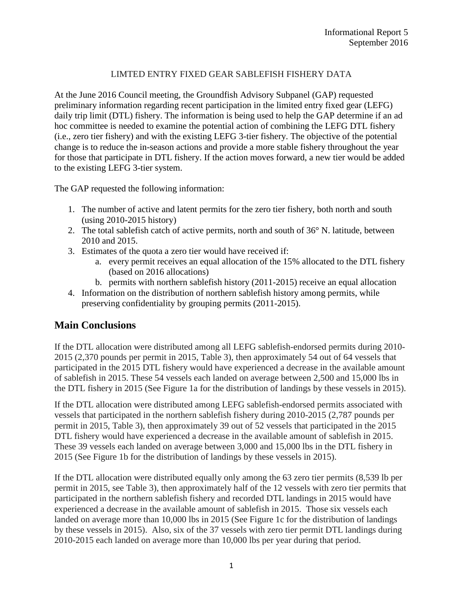### LIMTED ENTRY FIXED GEAR SABLEFISH FISHERY DATA

At the June 2016 Council meeting, the Groundfish Advisory Subpanel (GAP) requested preliminary information regarding recent participation in the limited entry fixed gear (LEFG) daily trip limit (DTL) fishery. The information is being used to help the GAP determine if an ad hoc committee is needed to examine the potential action of combining the LEFG DTL fishery (i.e., zero tier fishery) and with the existing LEFG 3-tier fishery. The objective of the potential change is to reduce the in-season actions and provide a more stable fishery throughout the year for those that participate in DTL fishery. If the action moves forward, a new tier would be added to the existing LEFG 3-tier system.

The GAP requested the following information:

- 1. The number of active and latent permits for the zero tier fishery, both north and south (using 2010-2015 history)
- 2. The total sablefish catch of active permits, north and south of 36° N. latitude, between 2010 and 2015.
- 3. Estimates of the quota a zero tier would have received if:
	- a. every permit receives an equal allocation of the 15% allocated to the DTL fishery (based on 2016 allocations)
	- b. permits with northern sablefish history (2011-2015) receive an equal allocation
- 4. Information on the distribution of northern sablefish history among permits, while preserving confidentiality by grouping permits (2011-2015).

## **Main Conclusions**

If the DTL allocation were distributed among all LEFG sablefish-endorsed permits during 2010- 2015 (2,370 pounds per permit in 2015, Table 3), then approximately 54 out of 64 vessels that participated in the 2015 DTL fishery would have experienced a decrease in the available amount of sablefish in 2015. These 54 vessels each landed on average between 2,500 and 15,000 lbs in the DTL fishery in 2015 (See Figure 1a for the distribution of landings by these vessels in 2015).

If the DTL allocation were distributed among LEFG sablefish-endorsed permits associated with vessels that participated in the northern sablefish fishery during 2010-2015 (2,787 pounds per permit in 2015, Table 3), then approximately 39 out of 52 vessels that participated in the 2015 DTL fishery would have experienced a decrease in the available amount of sablefish in 2015. These 39 vessels each landed on average between 3,000 and 15,000 lbs in the DTL fishery in 2015 (See Figure 1b for the distribution of landings by these vessels in 2015).

If the DTL allocation were distributed equally only among the 63 zero tier permits (8,539 lb per permit in 2015, see Table 3), then approximately half of the 12 vessels with zero tier permits that participated in the northern sablefish fishery and recorded DTL landings in 2015 would have experienced a decrease in the available amount of sablefish in 2015. Those six vessels each landed on average more than 10,000 lbs in 2015 (See Figure 1c for the distribution of landings by these vessels in 2015). Also, six of the 37 vessels with zero tier permit DTL landings during 2010-2015 each landed on average more than 10,000 lbs per year during that period.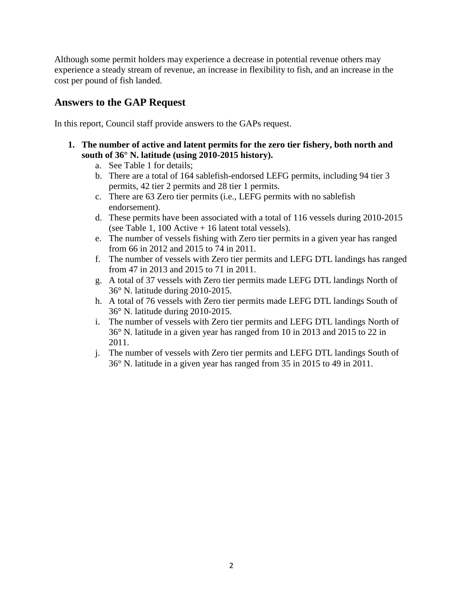Although some permit holders may experience a decrease in potential revenue others may experience a steady stream of revenue, an increase in flexibility to fish, and an increase in the cost per pound of fish landed.

# **Answers to the GAP Request**

In this report, Council staff provide answers to the GAPs request.

- **1. The number of active and latent permits for the zero tier fishery, both north and south of 36° N. latitude (using 2010-2015 history).**
	- a. See Table 1 for details;
	- b. There are a total of 164 sablefish-endorsed LEFG permits, including 94 tier 3 permits, 42 tier 2 permits and 28 tier 1 permits.
	- c. There are 63 Zero tier permits (i.e., LEFG permits with no sablefish endorsement).
	- d. These permits have been associated with a total of 116 vessels during 2010-2015 (see Table 1, 100 Active + 16 latent total vessels).
	- e. The number of vessels fishing with Zero tier permits in a given year has ranged from 66 in 2012 and 2015 to 74 in 2011.
	- f. The number of vessels with Zero tier permits and LEFG DTL landings has ranged from 47 in 2013 and 2015 to 71 in 2011.
	- g. A total of 37 vessels with Zero tier permits made LEFG DTL landings North of 36° N. latitude during 2010-2015.
	- h. A total of 76 vessels with Zero tier permits made LEFG DTL landings South of 36° N. latitude during 2010-2015.
	- i. The number of vessels with Zero tier permits and LEFG DTL landings North of 36° N. latitude in a given year has ranged from 10 in 2013 and 2015 to 22 in 2011.
	- j. The number of vessels with Zero tier permits and LEFG DTL landings South of 36° N. latitude in a given year has ranged from 35 in 2015 to 49 in 2011.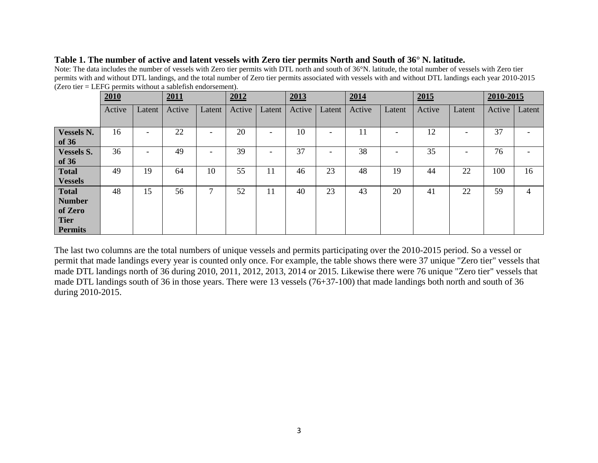#### **Table 1. The number of active and latent vessels with Zero tier permits North and South of 36° N. latitude.**

Note: The data includes the number of vessels with Zero tier permits with DTL north and south of 36°N. latitude, the total number of vessels with Zero tier permits with and without DTL landings, and the total number of Zero tier permits associated with vessels with and without DTL landings each year 2010-2015  $(Zero tier = LEFG$  permits without a sablefish endorsement).

|                   | 2010   |        | 2011   |                          | 2012   |                          | 2013   |                          | 2014   |        | 2015   |                          | 2010-2015 |                          |
|-------------------|--------|--------|--------|--------------------------|--------|--------------------------|--------|--------------------------|--------|--------|--------|--------------------------|-----------|--------------------------|
|                   | Active | Latent | Active | Latent                   | Active | Latent                   | Active | Latent                   | Active | Latent | Active | Latent                   | Active    | Latent                   |
|                   |        |        |        |                          |        |                          |        |                          |        |        |        |                          |           |                          |
| Vessels N.        | 16     | -      | 22     | $\overline{\phantom{a}}$ | 20     | $\overline{\phantom{a}}$ | 10     | $\overline{\phantom{0}}$ | 11     |        | 12     | ۰                        | 37        | $\overline{\phantom{0}}$ |
| of $36$           |        |        |        |                          |        |                          |        |                          |        |        |        |                          |           |                          |
| <b>Vessels S.</b> | 36     | -      | 49     | $\overline{\phantom{a}}$ | 39     | $\overline{\phantom{a}}$ | 37     | $\overline{\phantom{0}}$ | 38     |        | 35     | $\overline{\phantom{a}}$ | 76        | -                        |
| of $36$           |        |        |        |                          |        |                          |        |                          |        |        |        |                          |           |                          |
| <b>Total</b>      | 49     | 19     | 64     | 10                       | 55     | 11                       | 46     | 23                       | 48     | 19     | 44     | 22                       | 100       | 16                       |
| <b>Vessels</b>    |        |        |        |                          |        |                          |        |                          |        |        |        |                          |           |                          |
| <b>Total</b>      | 48     | 15     | 56     | ⇁                        | 52     | 11                       | 40     | 23                       | 43     | 20     | 41     | 22                       | 59        | 4                        |
| <b>Number</b>     |        |        |        |                          |        |                          |        |                          |        |        |        |                          |           |                          |
| of Zero           |        |        |        |                          |        |                          |        |                          |        |        |        |                          |           |                          |
| <b>Tier</b>       |        |        |        |                          |        |                          |        |                          |        |        |        |                          |           |                          |
| <b>Permits</b>    |        |        |        |                          |        |                          |        |                          |        |        |        |                          |           |                          |

The last two columns are the total numbers of unique vessels and permits participating over the 2010-2015 period. So a vessel or permit that made landings every year is counted only once. For example, the table shows there were 37 unique "Zero tier" vessels that made DTL landings north of 36 during 2010, 2011, 2012, 2013, 2014 or 2015. Likewise there were 76 unique "Zero tier" vessels that made DTL landings south of 36 in those years. There were 13 vessels (76+37-100) that made landings both north and south of 36 during 2010-2015.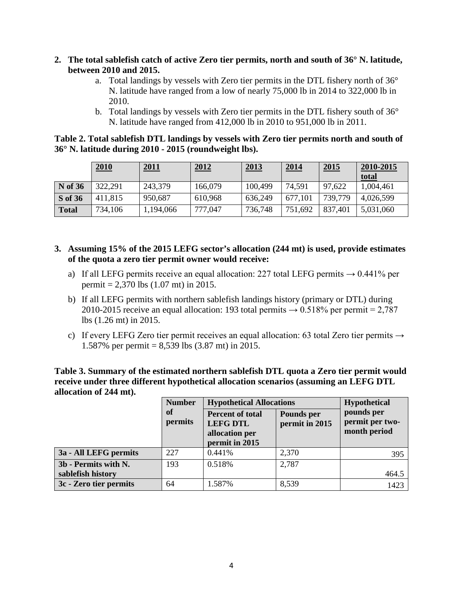- **2. The total sablefish catch of active Zero tier permits, north and south of 36° N. latitude, between 2010 and 2015.** 
	- a. Total landings by vessels with Zero tier permits in the DTL fishery north of 36° N. latitude have ranged from a low of nearly 75,000 lb in 2014 to 322,000 lb in 2010.
	- b. Total landings by vessels with Zero tier permits in the DTL fishery south of 36° N. latitude have ranged from 412,000 lb in 2010 to 951,000 lb in 2011.

| Table 2. Total sable fish DTL landings by vessels with Zero tier permits north and south of |  |  |  |
|---------------------------------------------------------------------------------------------|--|--|--|
| 36° N. latitude during 2010 - 2015 (roundweight lbs).                                       |  |  |  |

|                | 2010    | 2011      | 2012    | <u>2013</u> | 2014    | <u>2015</u> | 2010-2015<br>total |
|----------------|---------|-----------|---------|-------------|---------|-------------|--------------------|
| <b>N</b> of 36 | 322,291 | 243,379   | 166,079 | 100,499     | 74,591  | 97,622      | 1,004,461          |
| S of 36        | 411,815 | 950,687   | 610,968 | 636,249     | 677,101 | 739,779     | 4,026,599          |
| <b>Total</b>   | 734,106 | 1,194,066 | 777,047 | 736,748     | 751,692 | 837,401     | 5,031,060          |

- **3. Assuming 15% of the 2015 LEFG sector's allocation (244 mt) is used, provide estimates of the quota a zero tier permit owner would receive:**
	- a) If all LEFG permits receive an equal allocation: 227 total LEFG permits  $\rightarrow$  0.441% per permit = 2,370 lbs (1.07 mt) in 2015.
	- b) If all LEFG permits with northern sablefish landings history (primary or DTL) during 2010-2015 receive an equal allocation: 193 total permits  $\rightarrow$  0.518% per permit = 2,787 lbs (1.26 mt) in 2015.
	- c) If every LEFG Zero tier permit receives an equal allocation: 63 total Zero tier permits  $\rightarrow$ 1.587% per permit = 8,539 lbs (3.87 mt) in 2015.

**Table 3. Summary of the estimated northern sablefish DTL quota a Zero tier permit would receive under three different hypothetical allocation scenarios (assuming an LEFG DTL allocation of 244 mt).**

|                        | <b>Number</b> | <b>Hypothetical Allocations</b>                                                | <b>Hypothetical</b>          |                                               |
|------------------------|---------------|--------------------------------------------------------------------------------|------------------------------|-----------------------------------------------|
|                        | of<br>permits | <b>Percent of total</b><br><b>LEFG DTL</b><br>allocation per<br>permit in 2015 | Pounds per<br>permit in 2015 | pounds per<br>permit per two-<br>month period |
| 3a - All LEFG permits  | 227           | 0.441%                                                                         | 2,370                        | 395                                           |
| 3b - Permits with N.   | 193           | 0.518%                                                                         | 2,787                        |                                               |
| sablefish history      |               |                                                                                |                              | 464.5                                         |
| 3c - Zero tier permits | 64            | 1.587%                                                                         | 8,539                        | 1423                                          |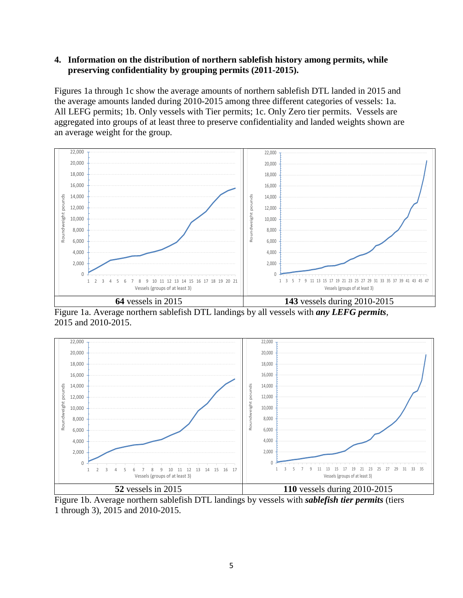### **4. Information on the distribution of northern sablefish history among permits, while preserving confidentiality by grouping permits (2011-2015).**

Figures 1a through 1c show the average amounts of northern sablefish DTL landed in 2015 and the average amounts landed during 2010-2015 among three different categories of vessels: 1a. All LEFG permits; 1b. Only vessels with Tier permits; 1c. Only Zero tier permits. Vessels are aggregated into groups of at least three to preserve confidentiality and landed weights shown are an average weight for the group.



Figure 1a. Average northern sablefish DTL landings by all vessels with *any LEFG permits*, 2015 and 2010-2015.



Figure 1b. Average northern sablefish DTL landings by vessels with *sablefish tier permits* (tiers 1 through 3), 2015 and 2010-2015.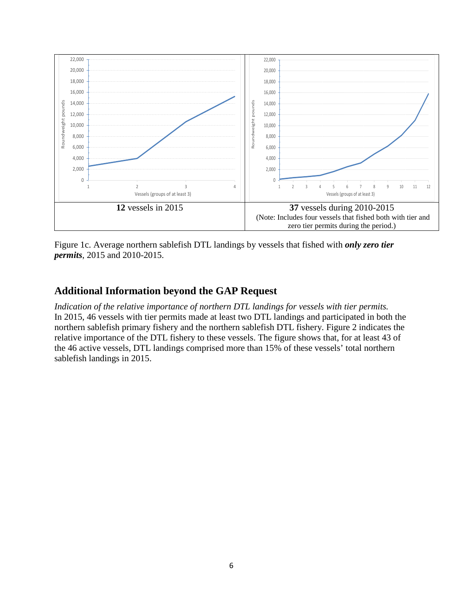

Figure 1c. Average northern sablefish DTL landings by vessels that fished with *only zero tier permits*, 2015 and 2010-2015.

## **Additional Information beyond the GAP Request**

*Indication of the relative importance of northern DTL landings for vessels with tier permits.* In 2015, 46 vessels with tier permits made at least two DTL landings and participated in both the northern sablefish primary fishery and the northern sablefish DTL fishery. Figure 2 indicates the relative importance of the DTL fishery to these vessels. The figure shows that, for at least 43 of the 46 active vessels, DTL landings comprised more than 15% of these vessels' total northern sablefish landings in 2015.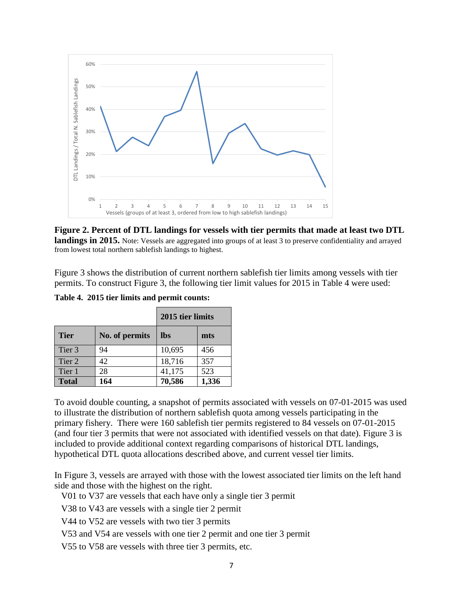

**Figure 2. Percent of DTL landings for vessels with tier permits that made at least two DTL landings in 2015.** Note: Vessels are aggregated into groups of at least 3 to preserve confidentiality and arrayed from lowest total northern sablefish landings to highest.

Figure 3 shows the distribution of current northern sablefish tier limits among vessels with tier permits. To construct Figure 3, the following tier limit values for 2015 in Table 4 were used:

|              |                | 2015 tier limits |       |  |  |
|--------------|----------------|------------------|-------|--|--|
| <b>Tier</b>  | No. of permits | <b>lbs</b>       | mts   |  |  |
| Tier 3       | 94             | 10,695           | 456   |  |  |
| Tier 2       | 42             | 18,716           | 357   |  |  |
| Tier 1       | 28             | 41,175           | 523   |  |  |
| <b>Total</b> | 164            | 70,586           | 1,336 |  |  |

**Table 4. 2015 tier limits and permit counts:**

To avoid double counting, a snapshot of permits associated with vessels on 07-01-2015 was used to illustrate the distribution of northern sablefish quota among vessels participating in the primary fishery. There were 160 sablefish tier permits registered to 84 vessels on 07-01-2015 (and four tier 3 permits that were not associated with identified vessels on that date). Figure 3 is included to provide additional context regarding comparisons of historical DTL landings, hypothetical DTL quota allocations described above, and current vessel tier limits.

In Figure 3, vessels are arrayed with those with the lowest associated tier limits on the left hand side and those with the highest on the right.

V01 to V37 are vessels that each have only a single tier 3 permit

V38 to V43 are vessels with a single tier 2 permit

V44 to V52 are vessels with two tier 3 permits

V53 and V54 are vessels with one tier 2 permit and one tier 3 permit

V55 to V58 are vessels with three tier 3 permits, etc.